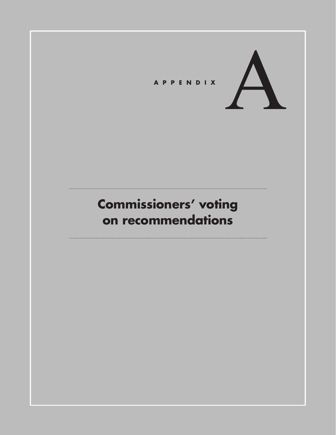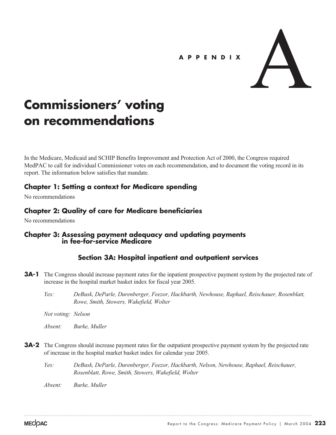## **APPENDIX**



# **Commissioners' voting on recommendations**

In the Medicare, Medicaid and SCHIP Benefits Improvement and Protection Act of 2000, the Congress required MedPAC to call for individual Commissioner votes on each recommendation, and to document the voting record in its report. The information below satisfies that mandate.

## **Chapter 1: Setting a context for Medicare spending**

No recommendations

# **Chapter 2: Quality of care for Medicare beneficiaries**

No recommendations

# **Chapter 3: Assessing payment adequacy and updating payments in fee-for-service Medicare**

# **Section 3A: Hospital inpatient and outpatient services**

- **3A-1** The Congress should increase payment rates for the inpatient prospective payment system by the projected rate of increase in the hospital market basket index for fiscal year 2005.
	- *Yes: DeBusk, DeParle, Durenberger, Feezor, Hackbarth, Newhouse, Raphael, Reischauer, Rosenblatt, Rowe, Smith, Stowers, Wakefield, Wolter*

*Not voting: Nelson*

*Absent: Burke, Muller*

- **3A-2** The Congress should increase payment rates for the outpatient prospective payment system by the projected rate of increase in the hospital market basket index for calendar year 2005.
	- *Yes: DeBusk, DeParle, Durenberger, Feezor, Hackbarth, Nelson, Newhouse, Raphael, Reischauer, Rosenblatt, Rowe, Smith, Stowers, Wakefield, Wolter*

*Absent: Burke, Muller*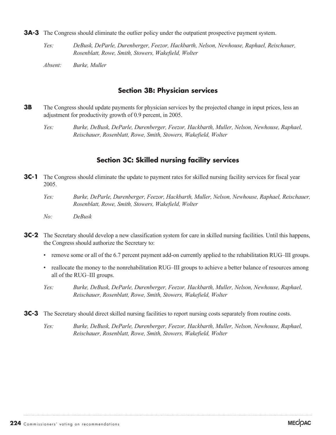- **3A-3** The Congress should eliminate the outlier policy under the outpatient prospective payment system.
	- *Yes: DeBusk, DeParle, Durenberger, Feezor, Hackbarth, Nelson, Newhouse, Raphael, Reischauer, Rosenblatt, Rowe, Smith, Stowers, Wakefield, Wolter*
	- *Absent: Burke, Muller*

#### **Section 3B: Physician services**

- **3B** The Congress should update payments for physician services by the projected change in input prices, less an adjustment for productivity growth of 0.9 percent, in 2005.
	- *Yes: Burke, DeBusk, DeParle, Durenberger, Feezor, Hackbarth, Muller, Nelson, Newhouse, Raphael, Reischauer, Rosenblatt, Rowe, Smith, Stowers, Wakefield, Wolter*

#### **Section 3C: Skilled nursing facility services**

- **3C-1** The Congress should eliminate the update to payment rates for skilled nursing facility services for fiscal year 2005.
	- *Yes: Burke, DeParle, Durenberger, Feezor, Hackbarth, Muller, Nelson, Newhouse, Raphael, Reischauer, Rosenblatt, Rowe, Smith, Stowers, Wakefield, Wolter*
	- *No: DeBusk*
- **3C-2** The Secretary should develop a new classification system for care in skilled nursing facilities. Until this happens, the Congress should authorize the Secretary to:
	- remove some or all of the 6.7 percent payment add-on currently applied to the rehabilitation RUG–III groups.
	- reallocate the money to the nonrehabilitation RUG–III groups to achieve a better balance of resources among all of the RUG–III groups.
	- *Yes: Burke, DeBusk, DeParle, Durenberger, Feezor, Hackbarth, Muller, Nelson, Newhouse, Raphael, Reischauer, Rosenblatt, Rowe, Smith, Stowers, Wakefield, Wolter*
- **3C-3** The Secretary should direct skilled nursing facilities to report nursing costs separately from routine costs.
	- *Yes: Burke, DeBusk, DeParle, Durenberger, Feezor, Hackbarth, Muller, Nelson, Newhouse, Raphael, Reischauer, Rosenblatt, Rowe, Smith, Stowers, Wakefield, Wolter*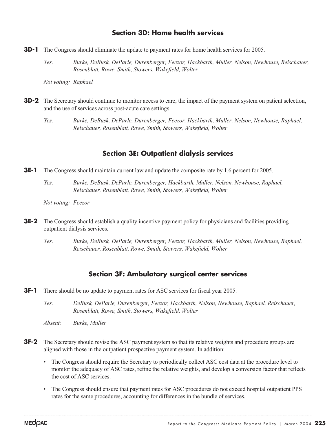### **Section 3D: Home health services**

- **3D-1** The Congress should eliminate the update to payment rates for home health services for 2005.
	- *Yes: Burke, DeBusk, DeParle, Durenberger, Feezor, Hackbarth, Muller, Nelson, Newhouse, Reischauer, Rosenblatt, Rowe, Smith, Stowers, Wakefield, Wolter*

*Not voting: Raphael*

- **3D-2** The Secretary should continue to monitor access to care, the impact of the payment system on patient selection, and the use of services across post-acute care settings.
	- *Yes: Burke, DeBusk, DeParle, Durenberger, Feezor, Hackbarth, Muller, Nelson, Newhouse, Raphael, Reischauer, Rosenblatt, Rowe, Smith, Stowers, Wakefield, Wolter*

### **Section 3E: Outpatient dialysis services**

- **3E-1** The Congress should maintain current law and update the composite rate by 1.6 percent for 2005.
	- *Yes: Burke, DeBusk, DeParle, Durenberger, Hackbarth, Muller, Nelson, Newhouse, Raphael, Reischauer, Rosenblatt, Rowe, Smith, Stowers, Wakefield, Wolter*

*Not voting: Feezor*

- **3E-2** The Congress should establish a quality incentive payment policy for physicians and facilities providing outpatient dialysis services.
	- *Yes: Burke, DeBusk, DeParle, Durenberger, Feezor, Hackbarth, Muller, Nelson, Newhouse, Raphael, Reischauer, Rosenblatt, Rowe, Smith, Stowers, Wakefield, Wolter*

#### **Section 3F: Ambulatory surgical center services**

- **3F-1** There should be no update to payment rates for ASC services for fiscal year 2005.
	- *Yes: DeBusk, DeParle, Durenberger, Feezor, Hackbarth, Nelson, Newhouse, Raphael, Reischauer, Rosenblatt, Rowe, Smith, Stowers, Wakefield, Wolter*

*Absent: Burke, Muller*

- **3F-2** The Secretary should revise the ASC payment system so that its relative weights and procedure groups are aligned with those in the outpatient prospective payment system. In addition:
	- The Congress should require the Secretary to periodically collect ASC cost data at the procedure level to monitor the adequacy of ASC rates, refine the relative weights, and develop a conversion factor that reflects the cost of ASC services.
	- The Congress should ensure that payment rates for ASC procedures do not exceed hospital outpatient PPS rates for the same procedures, accounting for differences in the bundle of services.